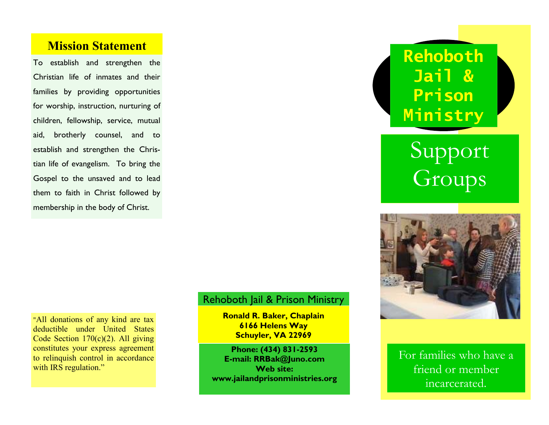## **Mission Statement**

To establish and strengthen the Christian life of inmates and their families by providing opportunities for worship, instruction, nurturing of children, fellowship, service, mutual aid, brotherly counsel, and to establish and strengthen the Christian life of evangelism. To bring the Gospel to the unsaved and to lead them to faith in Christ followed by membership in the body of Christ.

### Rehoboth Jail & Prison Ministry

**Ronald R. Baker, Chaplain 6166 Helens Way Schuyler, VA 22969** 

**Phone: (434) 831-2593 E-mail: RRBak@Juno.com Web site: www.jailandprisonministries.org**  **Rehoboth Jail & Prison Ministry** 

# Support Groups



For families who have a friend or member incarcerated.

"All donations of any kind are tax deductible under United States Code Section 170(c)(2). All giving constitutes your express agreement to relinquish control in accordance with IRS regulation."